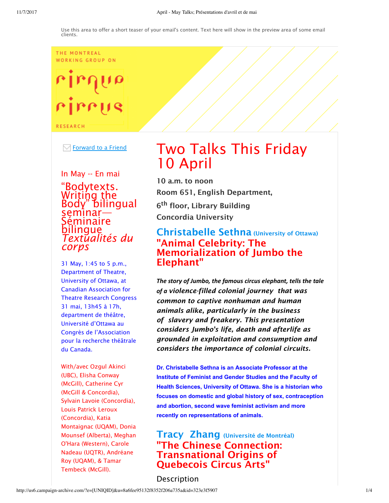THE MONTREAL WORKING GROUP ON

# $ulub$ rirrus

**RESEARCH** 

 $\boxdot$  Forward to a Friend

In May -- En mai "Bodytexts. Writing the Body" bilingual seminar— Séminaire bilingue *Textualités du corps*

31 May, 1:45 to 5 p.m., Department of Theatre, University of Ottawa, at Canadian Association for Theatre Research Congress 31 mai, 13h45 à 17h, department de théâtre, Université d'Ottawa au Congrès de l'Association pour la recherche théâtrale du Canada.

With/avec Ozgul Akinci (UBC), Elisha Conway (McGill), Catherine Cyr (McGill & Concordia), Sylvain Lavoie (Concordia), Louis Patrick Leroux (Concordia), Katia Montaignac (UQAM), Donia Mounsef (Alberta), Meghan O'Hara (Western), Carole Nadeau (UQTR), Andréane Roy (UQAM), & Tamar Tembeck (McGill).

# Two Talks This Friday 10 April

10 a.m. to noon Room 651, English Department, 6th floor, Library Building Concordia University

## Christabelle Sethna (University of Ottawa) "Animal Celebrity: The Memorialization of Jumbo the Elephant"

*The story of Jumbo, the famous circus elephant, tells the tale of a violence-filled colonial journey that was common to captive nonhuman and human animals alike, particularly in the business of slavery and freakery. This presentation considers Jumbo's life, death and afterlife as grounded in exploitation and consumption and considers the importance of colonial circuits.*

**Dr. Christabelle Sethna is an Associate Professor at the Institute of Feminist and Gender Studies and the Faculty of Health Sciences, University of Ottawa. She is a historian who focuses on domestic and global history of sex, contraception and abortion, second wave feminist activism and more recently on representations of animals.**

Tracy Zhang (Université de Montréal) "The Chinese Connection: Transnational Origins of Quebecois Circus Arts"

Description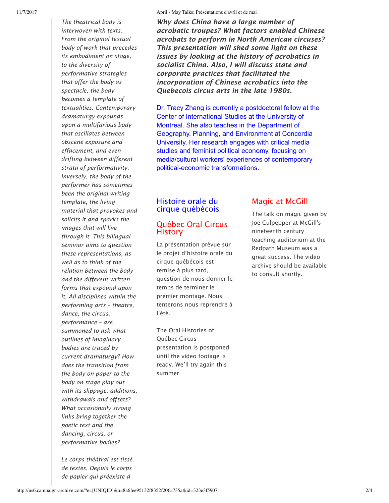*The theatrical body is interwoven with texts. From the original textual body of work that precedes its embodiment on stage, to the diversity of performative strategies that offer the body as spectacle, the body becomes a template of textualities. Contemporary dramaturgy expounds upon a multifarious body that oscillates between obscene exposure and effacement, and even drifting between different strata of performativity. Inversely, the body of the performer has sometimes been the original writing template, the living material that provokes and solicits it and sparks the images that will live through it. This bilingual seminar aims to question these representations, as well as to think of the relation between the body and the different written forms that expound upon it. All disciplines within the performing arts – theatre, dance, the circus, performance – are summoned to ask what outlines of imaginary bodies are traced by current dramaturgy? How does the transition from the body on paper to the body on stage play out with its slippage, additions, withdrawals and offsets? What occasionally strong links bring together the poetic text and the dancing, circus, or performative bodies?*

*Le corps théâtral est tissé de textes. Depuis le corps de papier qui préexiste à*

*Why does China have a large number of acrobatic troupes? What factors enabled Chinese acrobats to perform in North American circuses? This presentation will shed some light on these issues by looking at the history of acrobatics in socialist China. Also, I will discuss state and corporate practices that facilitated the incorporation of Chinese acrobatics into the Quebecois circus arts in the late 1980s.* 

Dr. Tracy Zhang is currently a postdoctoral fellow at the Center of International Studies at the University of Montreal. She also teaches in the Department of Geography, Planning, and Environment at Concordia University. Her research engages with critical media studies and feminist political economy, focusing on media/cultural workers' experiences of contemporary political-economic transformations.

#### Histoire orale du cirque québécois

#### Québec Oral Circus **History**

La présentation prévue sur le projet d'histoire orale du cirque québécois est remise à plus tard, question de nous donner le temps de terminer le premier montage. Nous tenterons nous reprendre à l'été.

The Oral Histories of Québec Circus presentation is postponed until the video footage is ready. We'll try again this summer.

### Magic at McGill

The talk on magic given by Joe Culpepper at McGill's nineteenth century teaching auditorium at the Redpath Museum was a great success. The video archive should be available to consult shortly.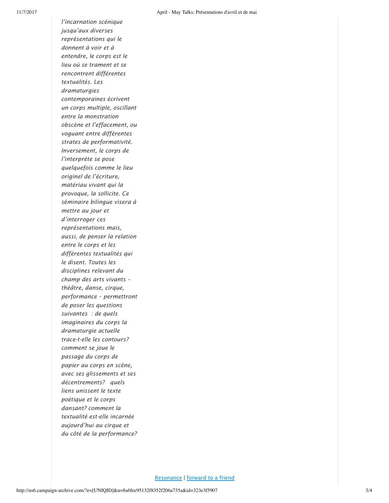*l'incarnation scénique jusqu'aux diverses représentations qui le donnent à voir et à entendre, le corps est le lieu où se trament et se rencontrent différentes textualités. Les dramaturgies contemporaines écrivent un corps multiple, oscillant entre la monstration obscène et l'effacement, ou voguant entre différentes strates de performativité. Inversement, le corps de l'interprète se pose quelquefois comme le lieu originel de l'écriture, matériau vivant qui la provoque, la sollicite. Ce séminaire bilingue visera à mettre au jour et d'interroger ces représentations mais, aussi, de penser la relation entre le corps et les différentes textualités qui le disent. Toutes les disciplines relevant du champ des arts vivants – théâtre, danse, cirque, performance – permettront de poser les questions suivantes : de quels imaginaires du corps la dramaturgie actuelle trace-t-elle les contours? comment se joue le passage du corps de papier au corps en scène, avec ses glissements et ses décentrements? quels liens unissent le texte poétique et le corps dansant? comment la textualité est-elle incarnée aujourd'hui au cirque et du côté de la performance?*